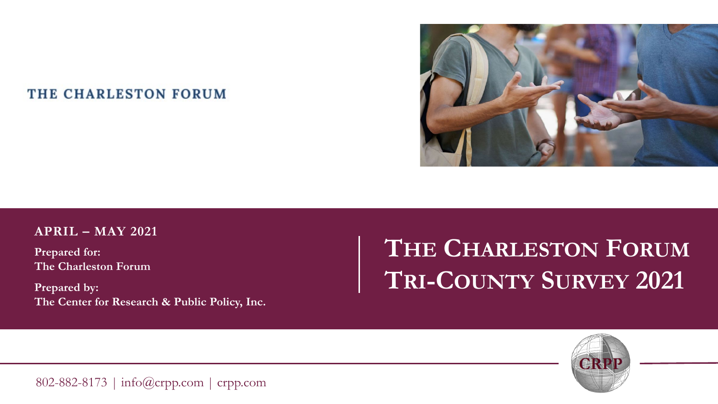### THE CHARLESTON FORUM



#### **APRIL – MAY 2021**

**Prepared for: The Charleston Forum**

**Prepared by: The Center for Research & Public Policy, Inc.** 

# **THE CHARLESTON FORUM TRI-COUNTY SURVEY 2021**



802-882-8173 | info@crpp.com | crpp.com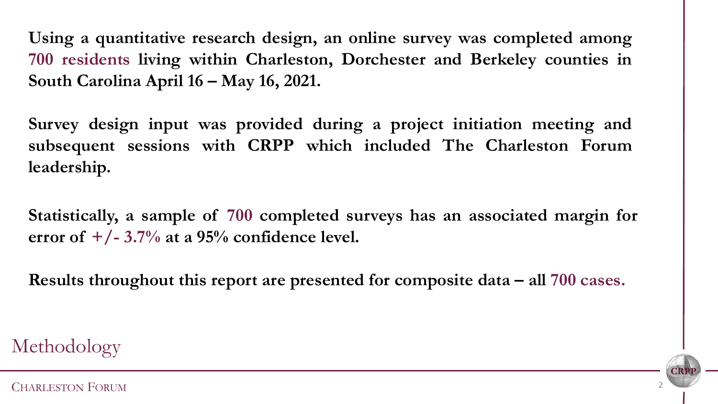**Using a quantitative research design, an online survey was completed among 700 residents living within Charleston, Dorchester and Berkeley counties in South Carolina April 16 – May 16, 2021.**

**Survey design input was provided during a project initiation meeting and subsequent sessions with CRPP which included The Charleston Forum leadership.**

**Statistically, a sample of 700 completed surveys has an associated margin for error of +/- 3.7% at a 95% confidence level.**

**Results throughout this report are presented for composite data – all 700 cases.**

Methodology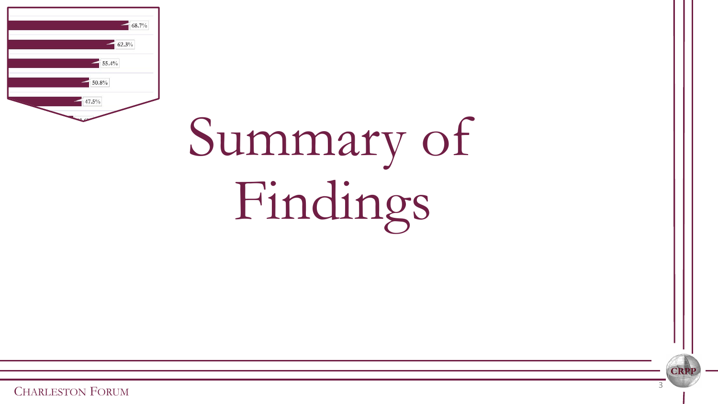| 68.7%          |  |
|----------------|--|
| 62.3%          |  |
| 55.4%<br>50.8% |  |
| 47.5%          |  |
| u.             |  |

# Summary of Findings

CRI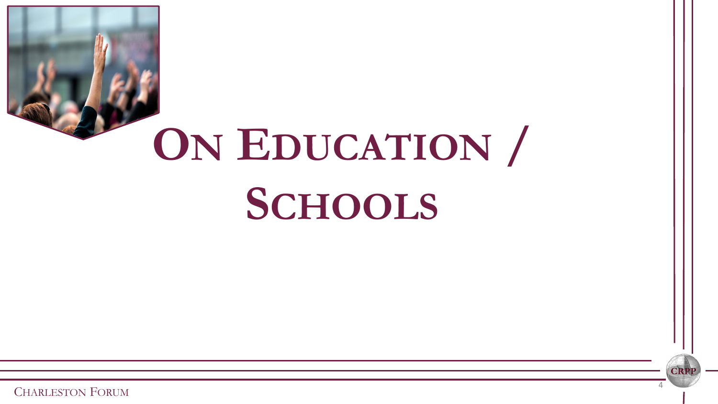

**CRI**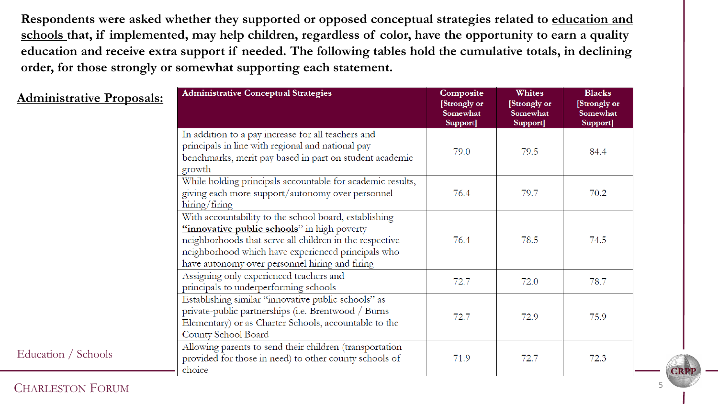**Respondents were asked whether they supported or opposed conceptual strategies related to education and schools that, if implemented, may help children, regardless of color, have the opportunity to earn a quality education and receive extra support if needed. The following tables hold the cumulative totals, in declining order, for those strongly or somewhat supporting each statement.** 

| <b>Administrative Proposals:</b> | <b>Administrative Conceptual Strategies</b>                                                                                                                                                                                                                             | Composite<br>[Strongly or<br>Somewhat<br>Support] | Whites<br>[Strongly or<br>Somewhat<br>Support] | <b>Blacks</b><br>[Strongly or<br>Somewhat<br>Support] |
|----------------------------------|-------------------------------------------------------------------------------------------------------------------------------------------------------------------------------------------------------------------------------------------------------------------------|---------------------------------------------------|------------------------------------------------|-------------------------------------------------------|
|                                  | In addition to a pay increase for all teachers and<br>principals in line with regional and national pay<br>benchmarks, merit pay based in part on student academic<br>growth                                                                                            | 79.0                                              | 79.5                                           | 84.4                                                  |
|                                  | While holding principals accountable for academic results,<br>giving each more support/autonomy over personnel<br>$\frac{1}{2}$ hiring                                                                                                                                  | 76.4                                              | 79.7                                           | 70.2                                                  |
|                                  | With accountability to the school board, establishing<br>"innovative public schools" in high poverty<br>neighborhoods that serve all children in the respective<br>neighborhood which have experienced principals who<br>have autonomy over personnel hiring and firing | 76.4                                              | 78.5                                           | 74.5                                                  |
|                                  | Assigning only experienced teachers and<br>principals to underperforming schools                                                                                                                                                                                        | 72.7                                              | 72.0                                           | 78.7                                                  |
|                                  | Establishing similar "innovative public schools" as<br>private-public partnerships (i.e. Brentwood / Burns<br>Elementary) or as Charter Schools, accountable to the<br>County School Board                                                                              | 72.7                                              | 72.9                                           | 75.9                                                  |
| Education / Schools              | Allowing parents to send their children (transportation<br>provided for those in need) to other county schools of<br>choice                                                                                                                                             | 71.9                                              | 72.7                                           | 72.3                                                  |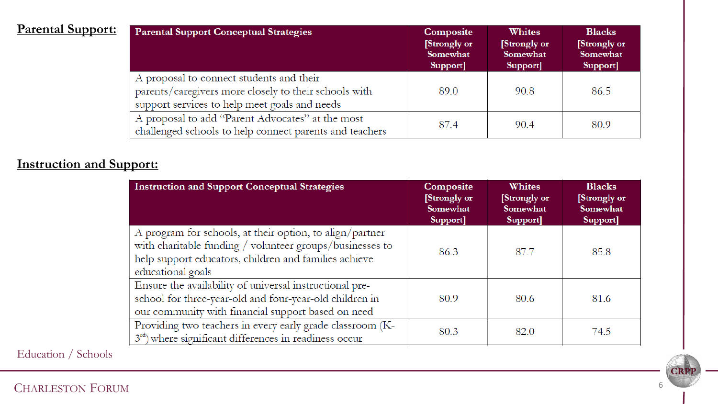| <b>Parental Support:</b> | <b>Parental Support Conceptual Strategies</b>                                                                                                      | Composite<br>[Strongly or<br>Somewhat<br>Support] | <b>Whites</b><br>[Strongly or<br>Somewhat<br>Support] | <b>Blacks</b><br>[Strongly or<br>Somewhat<br>Support] |
|--------------------------|----------------------------------------------------------------------------------------------------------------------------------------------------|---------------------------------------------------|-------------------------------------------------------|-------------------------------------------------------|
|                          | A proposal to connect students and their<br>parents/caregivers more closely to their schools with<br>support services to help meet goals and needs | 89.0                                              | 90.8                                                  | 86.5                                                  |
|                          | A proposal to add "Parent Advocates" at the most<br>challenged schools to help connect parents and teachers                                        | 87.4                                              | 90.4                                                  | 80.9                                                  |

## **Instruction and Support:**

| <b>Instruction and Support Conceptual Strategies</b>                                                                                                                                               | <b>Composite</b><br>[Strongly or<br>Somewhat<br>Support] | Whites<br>[Strongly or<br>Somewhat<br>Support] | <b>Blacks</b><br>[Strongly or<br>Somewhat<br>Support] |
|----------------------------------------------------------------------------------------------------------------------------------------------------------------------------------------------------|----------------------------------------------------------|------------------------------------------------|-------------------------------------------------------|
| A program for schools, at their option, to align/partner<br>with charitable funding / volunteer groups/businesses to<br>help support educators, children and families achieve<br>educational goals | 86.3                                                     | 87.7                                           | 85.8                                                  |
| Ensure the availability of universal instructional pre-<br>school for three-year-old and four-year-old children in<br>our community with financial support based on need                           | 80.9                                                     | 80.6                                           | 81.6                                                  |
| Providing two teachers in every early grade classroom (K-<br>3rd) where significant differences in readiness occur                                                                                 | 80.3                                                     | 82.0                                           | 74.5                                                  |

Education / Schools

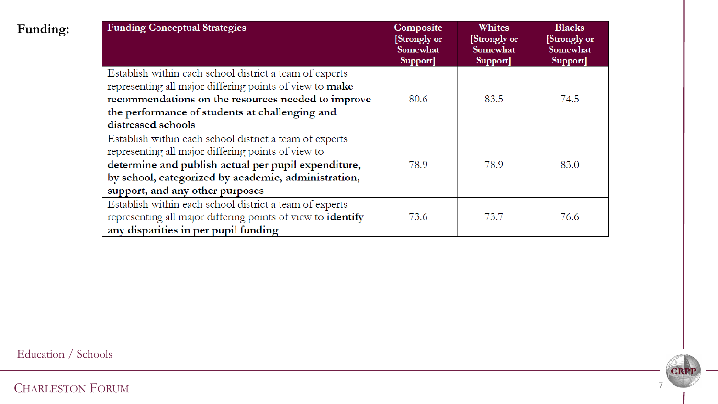| <b>Funding Conceptual Strategies</b>                                                                                                                                                                                                                           | <b>Composite</b><br>[Strongly or<br>Somewhat<br>Support] | Whites<br>[Strongly or<br>Somewhat<br>Support] | <b>Blacks</b><br>[Strongly or<br>Somewhat<br>Support] |
|----------------------------------------------------------------------------------------------------------------------------------------------------------------------------------------------------------------------------------------------------------------|----------------------------------------------------------|------------------------------------------------|-------------------------------------------------------|
| Establish within each school district a team of experts<br>representing all major differing points of view to make<br>recommendations on the resources needed to improve<br>the performance of students at challenging and<br>distressed schools               | 80.6                                                     | 83.5                                           | 74.5                                                  |
| Establish within each school district a team of experts<br>representing all major differing points of view to<br>determine and publish actual per pupil expenditure,<br>by school, categorized by academic, administration,<br>support, and any other purposes | 78.9                                                     | 78.9                                           | 83.0                                                  |
| Establish within each school district a team of experts<br>representing all major differing points of view to identify<br>any disparities in per pupil funding                                                                                                 | 73.6                                                     | 73.7                                           | 76.6                                                  |

Education / Schools

**Funding:**